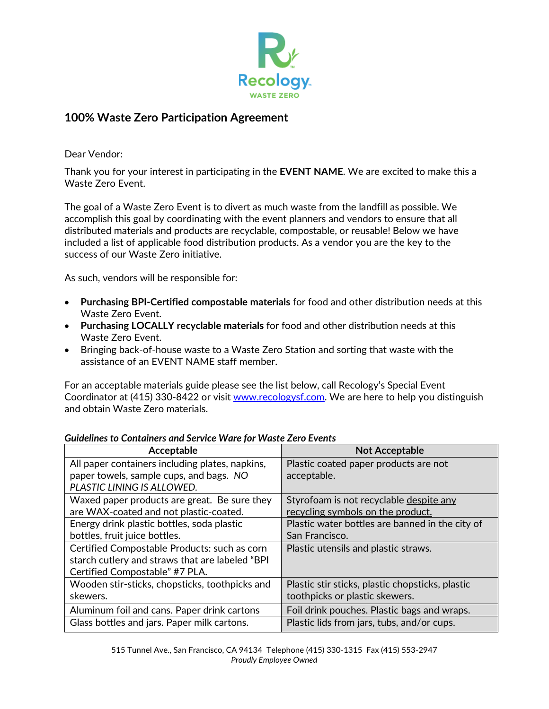

## **100% Waste Zero Participation Agreement**

Dear Vendor:

Thank you for your interest in participating in the **EVENT NAME**. We are excited to make this a Waste Zero Event.

The goal of a Waste Zero Event is to divert as much waste from the landfill as possible. We accomplish this goal by coordinating with the event planners and vendors to ensure that all distributed materials and products are recyclable, compostable, or reusable! Below we have included a list of applicable food distribution products. As a vendor you are the key to the success of our Waste Zero initiative.

As such, vendors will be responsible for:

- **Purchasing BPI-Certified compostable materials** for food and other distribution needs at this Waste Zero Event.
- **Purchasing LOCALLY recyclable materials** for food and other distribution needs at this Waste Zero Event.
- Bringing back-of-house waste to a Waste Zero Station and sorting that waste with the assistance of an EVENT NAME staff member.

For an acceptable materials guide please see the list below, call Recology's Special Event Coordinator at (415) 330-8422 or visit [www.recologysf.com.](http://www.recologysf.com/) We are here to help you distinguish and obtain Waste Zero materials.

| Acceptable                                      | <b>Not Acceptable</b>                            |
|-------------------------------------------------|--------------------------------------------------|
| All paper containers including plates, napkins, | Plastic coated paper products are not            |
| paper towels, sample cups, and bags. NO         | acceptable.                                      |
| PLASTIC LINING IS ALLOWED.                      |                                                  |
| Waxed paper products are great. Be sure they    | Styrofoam is not recyclable despite any          |
| are WAX-coated and not plastic-coated.          | recycling symbols on the product.                |
| Energy drink plastic bottles, soda plastic      | Plastic water bottles are banned in the city of  |
| bottles, fruit juice bottles.                   | San Francisco.                                   |
| Certified Compostable Products: such as corn    | Plastic utensils and plastic straws.             |
| starch cutlery and straws that are labeled "BPI |                                                  |
| Certified Compostable" #7 PLA.                  |                                                  |
| Wooden stir-sticks, chopsticks, toothpicks and  | Plastic stir sticks, plastic chopsticks, plastic |
| skewers.                                        | toothpicks or plastic skewers.                   |
| Aluminum foil and cans. Paper drink cartons     | Foil drink pouches. Plastic bags and wraps.      |
| Glass bottles and jars. Paper milk cartons.     | Plastic lids from jars, tubs, and/or cups.       |

## *Guidelines to Containers and Service Ware for Waste Zero Events*